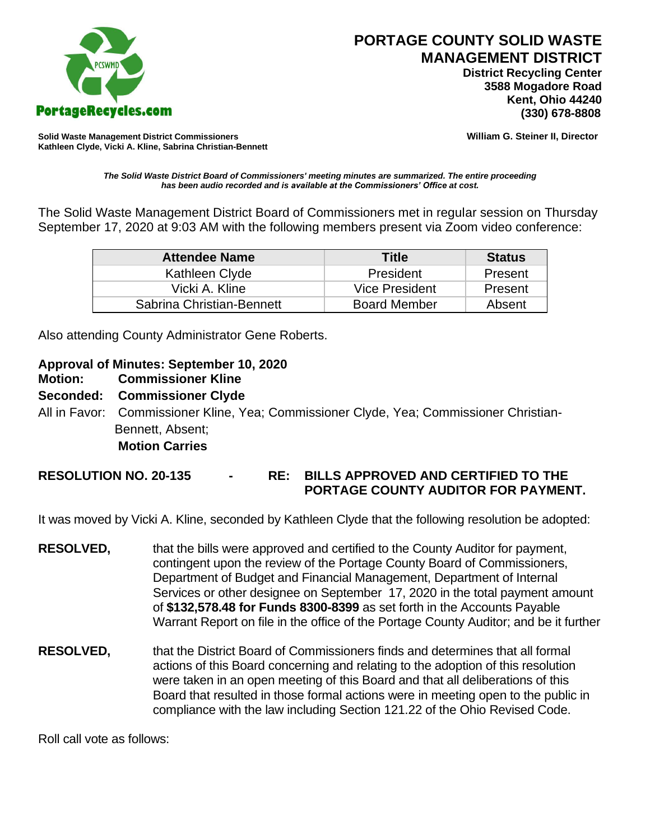

 **District Recycling Center 3588 Mogadore Road Kent, Ohio 44240**

**Solid Waste Management District Commissioners William G. Steiner II, Director Kathleen Clyde, Vicki A. Kline, Sabrina Christian-Bennett** 

*The Solid Waste District Board of Commissioners' meeting minutes are summarized. The entire proceeding has been audio recorded and is available at the Commissioners' Office at cost.*

The Solid Waste Management District Board of Commissioners met in regular session on Thursday September 17, 2020 at 9:03 AM with the following members present via Zoom video conference:

| <b>Attendee Name</b>      | <b>Title</b>        | <b>Status</b> |
|---------------------------|---------------------|---------------|
| Kathleen Clyde            | President           | Present       |
| Vicki A. Kline            | Vice President      | Present       |
| Sabrina Christian-Bennett | <b>Board Member</b> | Absent        |

Also attending County Administrator Gene Roberts.

### **Approval of Minutes: September 10, 2020**

**Motion: Commissioner Kline**

### **Seconded: Commissioner Clyde**

All in Favor: Commissioner Kline, Yea; Commissioner Clyde, Yea; Commissioner Christian-Bennett, Absent; **Motion Carries**

# **RESOLUTION NO. 20-135 - RE: BILLS APPROVED AND CERTIFIED TO THE PORTAGE COUNTY AUDITOR FOR PAYMENT.**

It was moved by Vicki A. Kline, seconded by Kathleen Clyde that the following resolution be adopted:

- **RESOLVED,** that the bills were approved and certified to the County Auditor for payment, contingent upon the review of the Portage County Board of Commissioners, Department of Budget and Financial Management, Department of Internal Services or other designee on September 17, 2020 in the total payment amount of **\$132,578.48 for Funds 8300-8399** as set forth in the Accounts Payable Warrant Report on file in the office of the Portage County Auditor; and be it further
- **RESOLVED,** that the District Board of Commissioners finds and determines that all formal actions of this Board concerning and relating to the adoption of this resolution were taken in an open meeting of this Board and that all deliberations of this Board that resulted in those formal actions were in meeting open to the public in compliance with the law including Section 121.22 of the Ohio Revised Code.

Roll call vote as follows: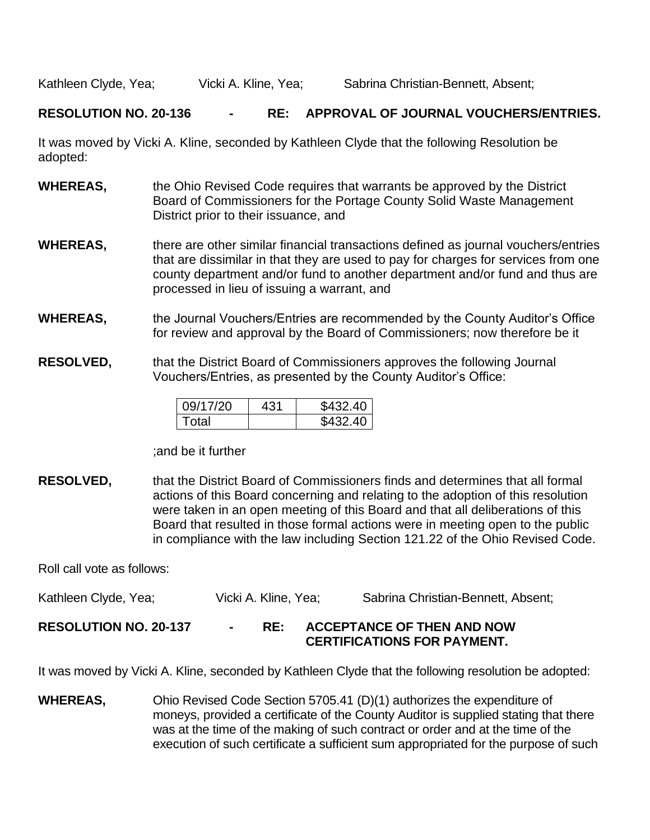Kathleen Clyde, Yea; Vicki A. Kline, Yea; Sabrina Christian-Bennett, Absent;

## **RESOLUTION NO. 20-136 - RE: APPROVAL OF JOURNAL VOUCHERS/ENTRIES.**

It was moved by Vicki A. Kline, seconded by Kathleen Clyde that the following Resolution be adopted:

- **WHEREAS,** the Ohio Revised Code requires that warrants be approved by the District Board of Commissioners for the Portage County Solid Waste Management District prior to their issuance, and
- **WHEREAS,** there are other similar financial transactions defined as journal vouchers/entries that are dissimilar in that they are used to pay for charges for services from one county department and/or fund to another department and/or fund and thus are processed in lieu of issuing a warrant, and
- **WHEREAS,** the Journal Vouchers/Entries are recommended by the County Auditor's Office for review and approval by the Board of Commissioners; now therefore be it
- **RESOLVED,** that the District Board of Commissioners approves the following Journal Vouchers/Entries, as presented by the County Auditor's Office:

| 09/17/20 | \$432.40 |
|----------|----------|
| Total    | \$432.40 |

#### ;and be it further

**RESOLVED,** that the District Board of Commissioners finds and determines that all formal actions of this Board concerning and relating to the adoption of this resolution were taken in an open meeting of this Board and that all deliberations of this Board that resulted in those formal actions were in meeting open to the public in compliance with the law including Section 121.22 of the Ohio Revised Code.

Roll call vote as follows:

Kathleen Clyde, Yea; The Vicki A. Kline, Yea; Sabrina Christian-Bennett, Absent;

# **RESOLUTION NO. 20-137 - RE: ACCEPTANCE OF THEN AND NOW CERTIFICATIONS FOR PAYMENT.**

It was moved by Vicki A. Kline, seconded by Kathleen Clyde that the following resolution be adopted:

**WHEREAS,** Ohio Revised Code Section 5705.41 (D)(1) authorizes the expenditure of moneys, provided a certificate of the County Auditor is supplied stating that there was at the time of the making of such contract or order and at the time of the execution of such certificate a sufficient sum appropriated for the purpose of such